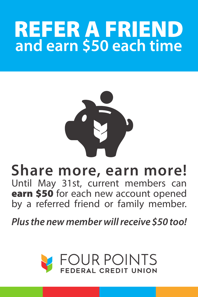## **REFER A FRIEND**<br>and earn \$50 each time



**Share more, earn more!**  Until May 31st, current members can

earn \$50 for each new account opened by a referred friend or family member.

*Plus the new member will receive \$50 too!*